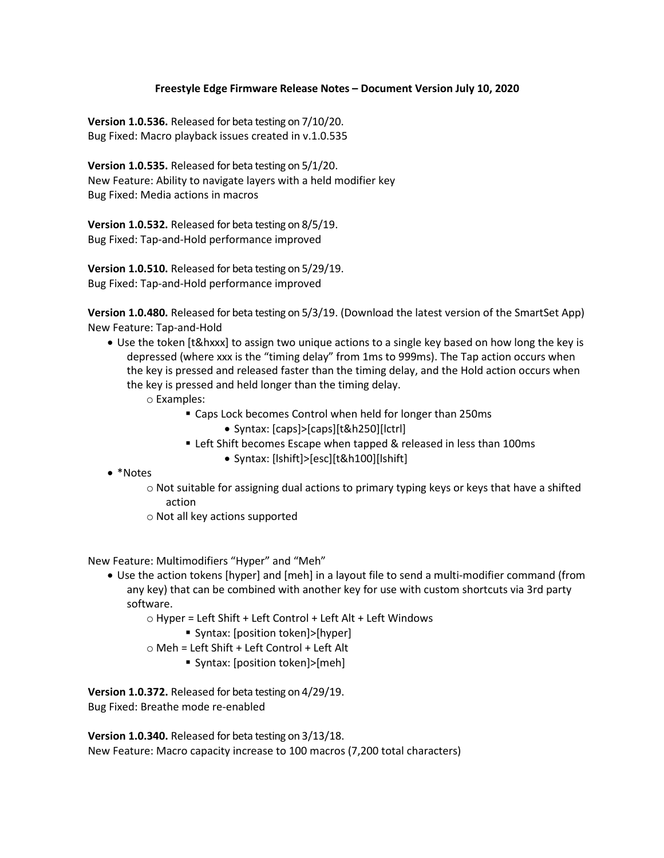## **Freestyle Edge Firmware Release Notes – Document Version July 10, 2020**

**Version 1.0.536.** Released for beta testing on 7/10/20. Bug Fixed: Macro playback issues created in v.1.0.535

**Version 1.0.535.** Released for beta testing on 5/1/20. New Feature: Ability to navigate layers with a held modifier key Bug Fixed: Media actions in macros

**Version 1.0.532.** Released for beta testing on 8/5/19. Bug Fixed: Tap-and-Hold performance improved

**Version 1.0.510.** Released for beta testing on 5/29/19. Bug Fixed: Tap-and-Hold performance improved

**Version 1.0.480.** Released for beta testing on 5/3/19. (Download the latest version of the SmartSet App) New Feature: Tap-and-Hold

- Use the token [t&hxxx] to assign two unique actions to a single key based on how long the key is depressed (where xxx is the "timing delay" from 1ms to 999ms). The Tap action occurs when the key is pressed and released faster than the timing delay, and the Hold action occurs when the key is pressed and held longer than the timing delay.
	- o Examples:
		- Caps Lock becomes Control when held for longer than 250ms • Syntax: [caps]>[caps][t&h250][lctrl]
		- Left Shift becomes Escape when tapped & released in less than 100ms
			- Syntax: [lshift]>[esc][t&h100][lshift]
- \*Notes
	- o Not suitable for assigning dual actions to primary typing keys or keys that have a shifted action
	- o Not all key actions supported

New Feature: Multimodifiers "Hyper" and "Meh"

- Use the action tokens [hyper] and [meh] in a layout file to send a multi-modifier command (from any key) that can be combined with another key for use with custom shortcuts via 3rd party software.
	- o Hyper = Left Shift + Left Control + Left Alt + Left Windows
		- Syntax: [position token]>[hyper]
	- o Meh = Left Shift + Left Control + Left Alt
		- Syntax: [position token]>[meh]

**Version 1.0.372.** Released for beta testing on 4/29/19.

Bug Fixed: Breathe mode re-enabled

**Version 1.0.340.** Released for beta testing on 3/13/18. New Feature: Macro capacity increase to 100 macros (7,200 total characters)